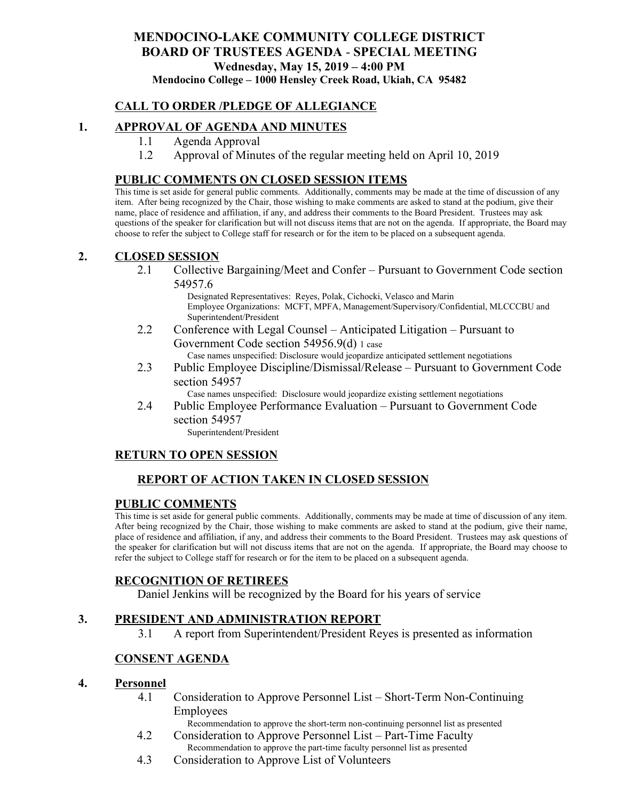#### **MENDOCINO-LAKE COMMUNITY COLLEGE DISTRICT BOARD OF TRUSTEES AGENDA** - **SPECIAL MEETING Wednesday, May 15, 2019 – 4:00 PM Mendocino College – 1000 Hensley Creek Road, Ukiah, CA 95482**

# **CALL TO ORDER /PLEDGE OF ALLEGIANCE**

# **1. APPROVAL OF AGENDA AND MINUTES**

- 1.1 Agenda Approval
- 1.2 Approval of Minutes of the regular meeting held on April 10, 2019

#### **PUBLIC COMMENTS ON CLOSED SESSION ITEMS**

This time is set aside for general public comments. Additionally, comments may be made at the time of discussion of any item. After being recognized by the Chair, those wishing to make comments are asked to stand at the podium, give their name, place of residence and affiliation, if any, and address their comments to the Board President. Trustees may ask questions of the speaker for clarification but will not discuss items that are not on the agenda. If appropriate, the Board may choose to refer the subject to College staff for research or for the item to be placed on a subsequent agenda.

#### **2. CLOSED SESSION**

2.1 Collective Bargaining/Meet and Confer – Pursuant to Government Code section 54957.6

Designated Representatives: Reyes, Polak, Cichocki, Velasco and Marin Employee Organizations: MCFT, MPFA, Management/Supervisory/Confidential, MLCCCBU and Superintendent/President

- 2.2 Conference with Legal Counsel Anticipated Litigation Pursuant to Government Code section 54956.9(d) 1 case Case names unspecified: Disclosure would jeopardize anticipated settlement negotiations
- 2.3 Public Employee Discipline/Dismissal/Release Pursuant to Government Code section 54957

Case names unspecified: Disclosure would jeopardize existing settlement negotiations

2.4 Public Employee Performance Evaluation – Pursuant to Government Code section 54957

Superintendent/President

### **RETURN TO OPEN SESSION**

# **REPORT OF ACTION TAKEN IN CLOSED SESSION**

#### **PUBLIC COMMENTS**

This time is set aside for general public comments. Additionally, comments may be made at time of discussion of any item. After being recognized by the Chair, those wishing to make comments are asked to stand at the podium, give their name, place of residence and affiliation, if any, and address their comments to the Board President. Trustees may ask questions of the speaker for clarification but will not discuss items that are not on the agenda. If appropriate, the Board may choose to refer the subject to College staff for research or for the item to be placed on a subsequent agenda.

### **RECOGNITION OF RETIREES**

Daniel Jenkins will be recognized by the Board for his years of service

### **3. PRESIDENT AND ADMINISTRATION REPORT**

3.1 A report from Superintendent/President Reyes is presented as information

### **CONSENT AGENDA**

#### **4. Personnel**

4.1 Consideration to Approve Personnel List – Short-Term Non-Continuing Employees

Recommendation to approve the short-term non-continuing personnel list as presented

- 4.2 Consideration to Approve Personnel List Part-Time Faculty Recommendation to approve the part-time faculty personnel list as presented
- 4.3 Consideration to Approve List of Volunteers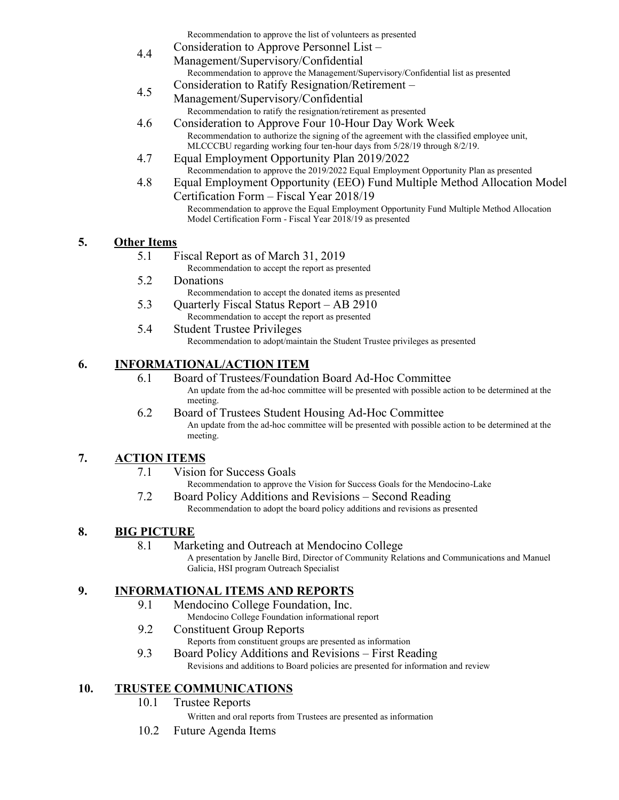Recommendation to approve the list of volunteers as presented

- 4.4 Consideration to Approve Personnel List – Management/Supervisory/Confidential Recommendation to approve the Management/Supervisory/Confidential list as presented Consideration to Ratify Resignation/Retirement –
- 4.5 Management/Supervisory/Confidential Recommendation to ratify the resignation/retirement as presented
- 4.6 Consideration to Approve Four 10-Hour Day Work Week Recommendation to authorize the signing of the agreement with the classified employee unit, MLCCCBU regarding working four ten-hour days from 5/28/19 through 8/2/19.
- 4.7 Equal Employment Opportunity Plan 2019/2022 Recommendation to approve the 2019/2022 Equal Employment Opportunity Plan as presented
- 4.8 Equal Employment Opportunity (EEO) Fund Multiple Method Allocation Model Certification Form – Fiscal Year 2018/19

#### Recommendation to approve the Equal Employment Opportunity Fund Multiple Method Allocation Model Certification Form - Fiscal Year 2018/19 as presented

# **5. Other Items**

5.1 Fiscal Report as of March 31, 2019

Recommendation to accept the report as presented

- 5.2 Donations
	- Recommendation to accept the donated items as presented
- 5.3 Quarterly Fiscal Status Report AB 2910 Recommendation to accept the report as presented
- 5.4 Student Trustee Privileges Recommendation to adopt/maintain the Student Trustee privileges as presented

# **6. INFORMATIONAL/ACTION ITEM**

- 6.1 Board of Trustees/Foundation Board Ad-Hoc Committee An update from the ad-hoc committee will be presented with possible action to be determined at the meeting.
- 6.2 Board of Trustees Student Housing Ad-Hoc Committee An update from the ad-hoc committee will be presented with possible action to be determined at the meeting.

# **7. ACTION ITEMS**

7.1 Vision for Success Goals

Recommendation to approve the Vision for Success Goals for the Mendocino-Lake

7.2 Board Policy Additions and Revisions – Second Reading Recommendation to adopt the board policy additions and revisions as presented

# **8. BIG PICTURE**

8.1 Marketing and Outreach at Mendocino College

A presentation by Janelle Bird, Director of Community Relations and Communications and Manuel Galicia, HSI program Outreach Specialist

# **9. INFORMATIONAL ITEMS AND REPORTS**

- 9.1 Mendocino College Foundation, Inc.
	- Mendocino College Foundation informational report
- 9.2 Constituent Group Reports
	- Reports from constituent groups are presented as information
- 9.3 Board Policy Additions and Revisions First Reading Revisions and additions to Board policies are presented for information and review

# **10. TRUSTEE COMMUNICATIONS**

- 10.1 Trustee Reports
	- Written and oral reports from Trustees are presented as information
- 10.2 Future Agenda Items